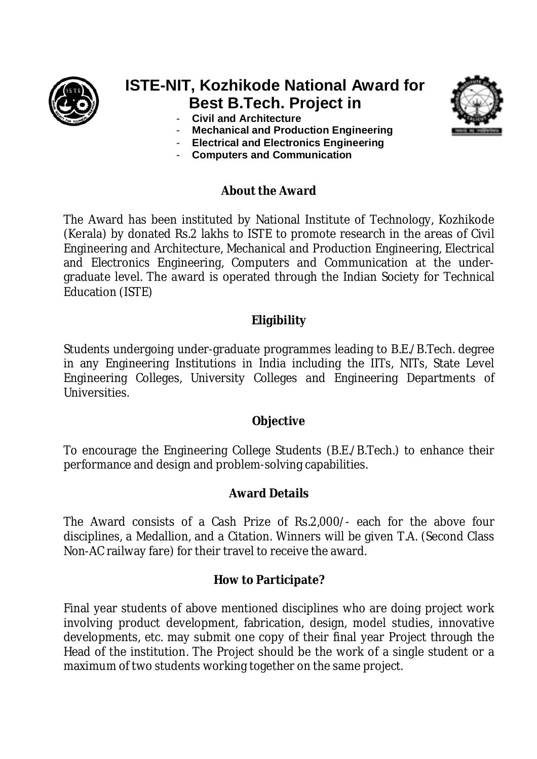

# **ISTE-NIT, Kozhikode National Award for Best B.Tech. Project in**

- **Civil and Architecture**
- **Mechanical and Production Engineering**
- **Electrical and Electronics Engineering**
- **Computers and Communication**

# **About the Award**

The Award has been instituted by National Institute of Technology, Kozhikode (Kerala) by donated Rs.2 lakhs to ISTE to promote research in the areas of Civil Engineering and Architecture, Mechanical and Production Engineering, Electrical and Electronics Engineering, Computers and Communication at the undergraduate level. The award is operated through the Indian Society for Technical Education (ISTE)

# **Eligibility**

Students undergoing under-graduate programmes leading to B.E./B.Tech. degree in any Engineering Institutions in India including the IITs, NITs, State Level Engineering Colleges, University Colleges and Engineering Departments of Universities.

# **Objective**

To encourage the Engineering College Students (B.E./B.Tech.) to enhance their performance and design and problem-solving capabilities.

# **Award Details**

The Award consists of a Cash Prize of Rs.2,000/- each for the above four disciplines, a Medallion, and a Citation. Winners will be given T.A. (Second Class Non-AC railway fare) for their travel to receive the award.

# **How to Participate?**

Final year students of above mentioned disciplines who are doing project work involving product development, fabrication, design, model studies, innovative developments, etc. may submit one copy of their final year Project through the Head of the institution. The Project should be the work of a single student or a maximum of two students working together on the same project.